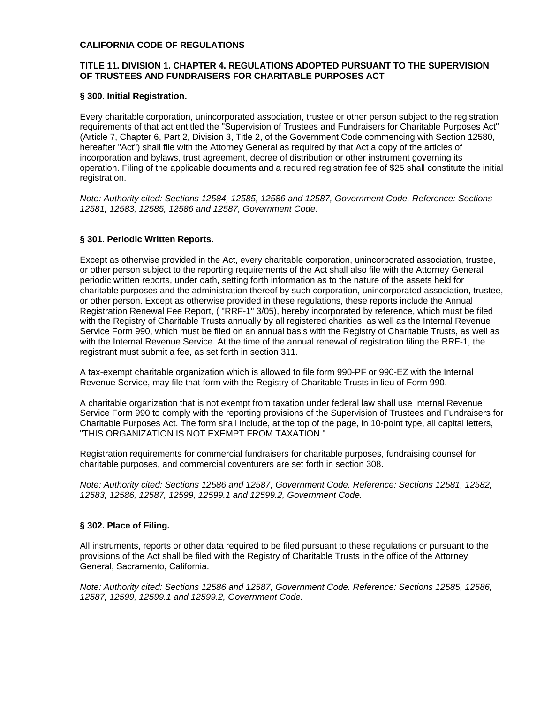#### **CALIFORNIA CODE OF REGULATIONS**

### **TITLE 11. DIVISION 1. CHAPTER 4. REGULATIONS ADOPTED PURSUANT TO THE SUPERVISION OF TRUSTEES AND FUNDRAISERS FOR CHARITABLE PURPOSES ACT**

### **§ 300. Initial Registration.**

Every charitable corporation, unincorporated association, trustee or other person subject to the registration requirements of that act entitled the "Supervision of Trustees and Fundraisers for Charitable Purposes Act" (Article 7, Chapter 6, Part 2, Division 3, Title 2, of the Government Code commencing with Section 12580, hereafter "Act") shall file with the Attorney General as required by that Act a copy of the articles of incorporation and bylaws, trust agreement, decree of distribution or other instrument governing its operation. Filing of the applicable documents and a required registration fee of \$25 shall constitute the initial registration.

*Note: Authority cited: Sections 12584, 12585, 12586 and 12587, Government Code. Reference: Sections 12581, 12583, 12585, 12586 and 12587, Government Code.* 

### **§ 301. Periodic Written Reports.**

Except as otherwise provided in the Act, every charitable corporation, unincorporated association, trustee, or other person subject to the reporting requirements of the Act shall also file with the Attorney General periodic written reports, under oath, setting forth information as to the nature of the assets held for charitable purposes and the administration thereof by such corporation, unincorporated association, trustee, or other person. Except as otherwise provided in these regulations, these reports include the Annual Registration Renewal Fee Report, ( "RRF-1" 3/05), hereby incorporated by reference, which must be filed with the Registry of Charitable Trusts annually by all registered charities, as well as the Internal Revenue Service Form 990, which must be filed on an annual basis with the Registry of Charitable Trusts, as well as with the Internal Revenue Service. At the time of the annual renewal of registration filing the RRF-1, the registrant must submit a fee, as set forth in section 311.

A tax-exempt charitable organization which is allowed to file form 990-PF or 990-EZ with the Internal Revenue Service, may file that form with the Registry of Charitable Trusts in lieu of Form 990.

A charitable organization that is not exempt from taxation under federal law shall use Internal Revenue Service Form 990 to comply with the reporting provisions of the Supervision of Trustees and Fundraisers for Charitable Purposes Act. The form shall include, at the top of the page, in 10-point type, all capital letters, "THIS ORGANIZATION IS NOT EXEMPT FROM TAXATION."

Registration requirements for commercial fundraisers for charitable purposes, fundraising counsel for charitable purposes, and commercial coventurers are set forth in section 308.

*Note: Authority cited: Sections 12586 and 12587, Government Code. Reference: Sections 12581, 12582, 12583, 12586, 12587, 12599, 12599.1 and 12599.2, Government Code.* 

### **§ 302. Place of Filing.**

All instruments, reports or other data required to be filed pursuant to these regulations or pursuant to the provisions of the Act shall be filed with the Registry of Charitable Trusts in the office of the Attorney General, Sacramento, California.

*Note: Authority cited: Sections 12586 and 12587, Government Code. Reference: Sections 12585, 12586, 12587, 12599, 12599.1 and 12599.2, Government Code.*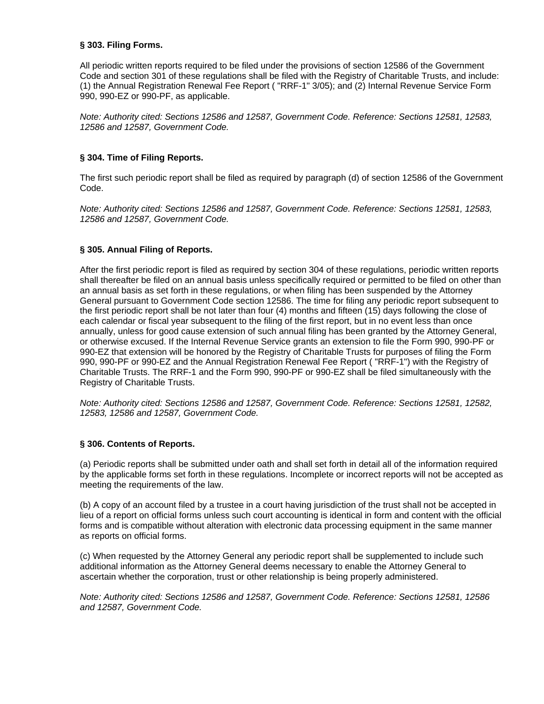## **§ 303. Filing Forms.**

All periodic written reports required to be filed under the provisions of section 12586 of the Government Code and section 301 of these regulations shall be filed with the Registry of Charitable Trusts, and include: (1) the Annual Registration Renewal Fee Report ( "RRF-1" 3/05); and (2) Internal Revenue Service Form 990, 990-EZ or 990-PF, as applicable.

*Note: Authority cited: Sections 12586 and 12587, Government Code. Reference: Sections 12581, 12583, 12586 and 12587, Government Code.* 

## **§ 304. Time of Filing Reports.**

The first such periodic report shall be filed as required by paragraph (d) of section 12586 of the Government Code.

*Note: Authority cited: Sections 12586 and 12587, Government Code. Reference: Sections 12581, 12583, 12586 and 12587, Government Code.* 

## **§ 305. Annual Filing of Reports.**

After the first periodic report is filed as required by section 304 of these regulations, periodic written reports shall thereafter be filed on an annual basis unless specifically required or permitted to be filed on other than an annual basis as set forth in these regulations, or when filing has been suspended by the Attorney General pursuant to Government Code section 12586. The time for filing any periodic report subsequent to the first periodic report shall be not later than four (4) months and fifteen (15) days following the close of each calendar or fiscal year subsequent to the filing of the first report, but in no event less than once annually, unless for good cause extension of such annual filing has been granted by the Attorney General, or otherwise excused. If the Internal Revenue Service grants an extension to file the Form 990, 990-PF or 990-EZ that extension will be honored by the Registry of Charitable Trusts for purposes of filing the Form 990, 990-PF or 990-EZ and the Annual Registration Renewal Fee Report ( "RRF-1") with the Registry of Charitable Trusts. The RRF-1 and the Form 990, 990-PF or 990-EZ shall be filed simultaneously with the Registry of Charitable Trusts.

*Note: Authority cited: Sections 12586 and 12587, Government Code. Reference: Sections 12581, 12582, 12583, 12586 and 12587, Government Code.* 

### **§ 306. Contents of Reports.**

(a) Periodic reports shall be submitted under oath and shall set forth in detail all of the information required by the applicable forms set forth in these regulations. Incomplete or incorrect reports will not be accepted as meeting the requirements of the law.

(b) A copy of an account filed by a trustee in a court having jurisdiction of the trust shall not be accepted in lieu of a report on official forms unless such court accounting is identical in form and content with the official forms and is compatible without alteration with electronic data processing equipment in the same manner as reports on official forms.

(c) When requested by the Attorney General any periodic report shall be supplemented to include such additional information as the Attorney General deems necessary to enable the Attorney General to ascertain whether the corporation, trust or other relationship is being properly administered.

*Note: Authority cited: Sections 12586 and 12587, Government Code. Reference: Sections 12581, 12586 and 12587, Government Code.*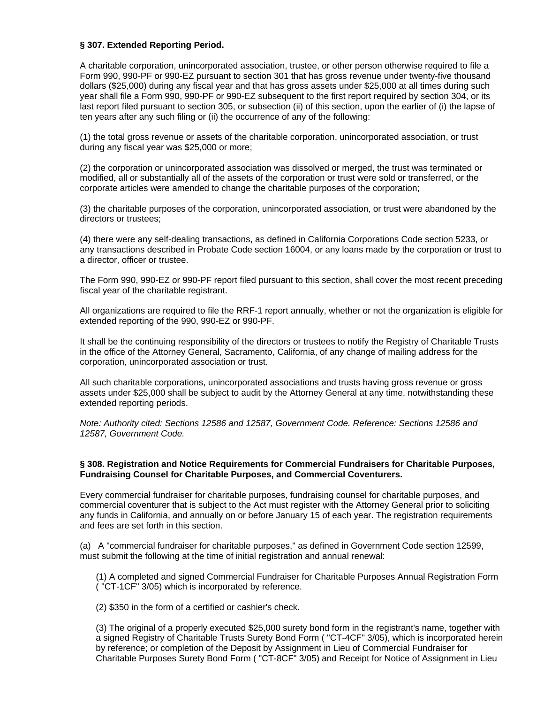### **§ 307. Extended Reporting Period.**

A charitable corporation, unincorporated association, trustee, or other person otherwise required to file a Form 990, 990-PF or 990-EZ pursuant to section 301 that has gross revenue under twenty-five thousand dollars (\$25,000) during any fiscal year and that has gross assets under \$25,000 at all times during such year shall file a Form 990, 990-PF or 990-EZ subsequent to the first report required by section 304, or its last report filed pursuant to section 305, or subsection (ii) of this section, upon the earlier of (i) the lapse of ten years after any such filing or (ii) the occurrence of any of the following:

(1) the total gross revenue or assets of the charitable corporation, unincorporated association, or trust during any fiscal year was \$25,000 or more;

(2) the corporation or unincorporated association was dissolved or merged, the trust was terminated or modified, all or substantially all of the assets of the corporation or trust were sold or transferred, or the corporate articles were amended to change the charitable purposes of the corporation;

(3) the charitable purposes of the corporation, unincorporated association, or trust were abandoned by the directors or trustees;

(4) there were any self-dealing transactions, as defined in California Corporations Code section 5233, or any transactions described in Probate Code section 16004, or any loans made by the corporation or trust to a director, officer or trustee.

The Form 990, 990-EZ or 990-PF report filed pursuant to this section, shall cover the most recent preceding fiscal year of the charitable registrant.

All organizations are required to file the RRF-1 report annually, whether or not the organization is eligible for extended reporting of the 990, 990-EZ or 990-PF.

It shall be the continuing responsibility of the directors or trustees to notify the Registry of Charitable Trusts in the office of the Attorney General, Sacramento, California, of any change of mailing address for the corporation, unincorporated association or trust.

All such charitable corporations, unincorporated associations and trusts having gross revenue or gross assets under \$25,000 shall be subject to audit by the Attorney General at any time, notwithstanding these extended reporting periods.

*Note: Authority cited: Sections 12586 and 12587, Government Code. Reference: Sections 12586 and 12587, Government Code.* 

## **§ 308. Registration and Notice Requirements for Commercial Fundraisers for Charitable Purposes, Fundraising Counsel for Charitable Purposes, and Commercial Coventurers.**

Every commercial fundraiser for charitable purposes, fundraising counsel for charitable purposes, and commercial coventurer that is subject to the Act must register with the Attorney General prior to soliciting any funds in California, and annually on or before January 15 of each year. The registration requirements and fees are set forth in this section.

(a) A "commercial fundraiser for charitable purposes," as defined in Government Code section 12599, must submit the following at the time of initial registration and annual renewal:

(1) A completed and signed Commercial Fundraiser for Charitable Purposes Annual Registration Form ( "CT-1CF" 3/05) which is incorporated by reference.

(2) \$350 in the form of a certified or cashier's check.

(3) The original of a properly executed \$25,000 surety bond form in the registrant's name, together with a signed Registry of Charitable Trusts Surety Bond Form ( "CT-4CF" 3/05), which is incorporated herein by reference; or completion of the Deposit by Assignment in Lieu of Commercial Fundraiser for Charitable Purposes Surety Bond Form ( "CT-8CF" 3/05) and Receipt for Notice of Assignment in Lieu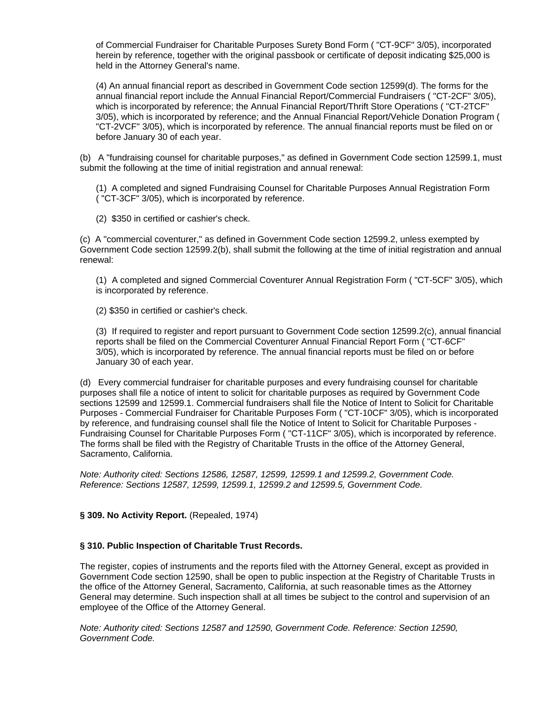of Commercial Fundraiser for Charitable Purposes Surety Bond Form ( "CT-9CF" 3/05), incorporated herein by reference, together with the original passbook or certificate of deposit indicating \$25,000 is held in the Attorney General's name.

(4) An annual financial report as described in Government Code section 12599(d). The forms for the annual financial report include the Annual Financial Report/Commercial Fundraisers ( "CT-2CF" 3/05), which is incorporated by reference; the Annual Financial Report/Thrift Store Operations ( "CT-2TCF" 3/05), which is incorporated by reference; and the Annual Financial Report/Vehicle Donation Program ( "CT-2VCF" 3/05), which is incorporated by reference. The annual financial reports must be filed on or before January 30 of each year.

(b) A "fundraising counsel for charitable purposes," as defined in Government Code section 12599.1, must submit the following at the time of initial registration and annual renewal:

(1) A completed and signed Fundraising Counsel for Charitable Purposes Annual Registration Form ( "CT-3CF" 3/05), which is incorporated by reference.

(2) \$350 in certified or cashier's check.

(c) A "commercial coventurer," as defined in Government Code section 12599.2, unless exempted by Government Code section 12599.2(b), shall submit the following at the time of initial registration and annual renewal:

(1) A completed and signed Commercial Coventurer Annual Registration Form ( "CT-5CF" 3/05), which is incorporated by reference.

(2) \$350 in certified or cashier's check.

(3) If required to register and report pursuant to Government Code section 12599.2(c), annual financial reports shall be filed on the Commercial Coventurer Annual Financial Report Form ( "CT-6CF" 3/05), which is incorporated by reference. The annual financial reports must be filed on or before January 30 of each year.

(d) Every commercial fundraiser for charitable purposes and every fundraising counsel for charitable purposes shall file a notice of intent to solicit for charitable purposes as required by Government Code sections 12599 and 12599.1. Commercial fundraisers shall file the Notice of Intent to Solicit for Charitable Purposes - Commercial Fundraiser for Charitable Purposes Form ( "CT-10CF" 3/05), which is incorporated by reference, and fundraising counsel shall file the Notice of Intent to Solicit for Charitable Purposes - Fundraising Counsel for Charitable Purposes Form ( "CT-11CF" 3/05), which is incorporated by reference. The forms shall be filed with the Registry of Charitable Trusts in the office of the Attorney General, Sacramento, California.

*Note: Authority cited: Sections 12586, 12587, 12599, 12599.1 and 12599.2, Government Code. Reference: Sections 12587, 12599, 12599.1, 12599.2 and 12599.5, Government Code.* 

### **§ 309. No Activity Report.** (Repealed, 1974)

### **§ 310. Public Inspection of Charitable Trust Records.**

The register, copies of instruments and the reports filed with the Attorney General, except as provided in Government Code section 12590, shall be open to public inspection at the Registry of Charitable Trusts in the office of the Attorney General, Sacramento, California, at such reasonable times as the Attorney General may determine. Such inspection shall at all times be subject to the control and supervision of an employee of the Office of the Attorney General.

*Note: Authority cited: Sections 12587 and 12590, Government Code. Reference: Section 12590, Government Code.*